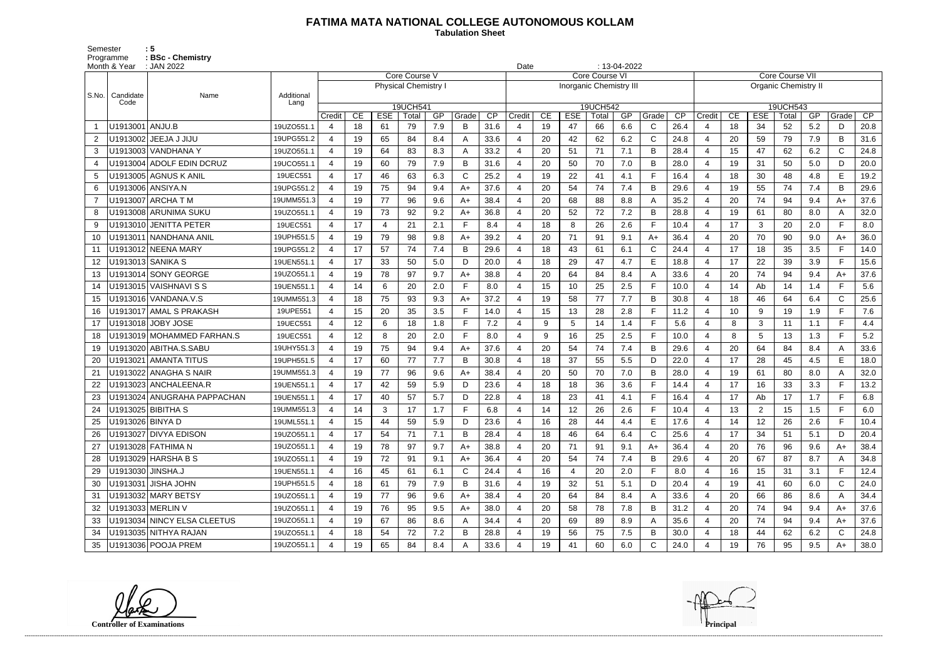## **FATIMA MATA NATIONAL COLLEGE AUTONOMOUS KOLLAM**

Semester : 5 Programme **: BSc - Chemistry**  **Tabulation Sheet** 

|                | Month & Year      | : JAN 2022                   |                    | $: 13-04-2022$<br>Date<br>Core Course V |    |            |                             |     |       |      |                |    |                                |                   |     |              |      |                             |                 |              |                   |     |                |      |  |
|----------------|-------------------|------------------------------|--------------------|-----------------------------------------|----|------------|-----------------------------|-----|-------|------|----------------|----|--------------------------------|-------------------|-----|--------------|------|-----------------------------|-----------------|--------------|-------------------|-----|----------------|------|--|
|                |                   |                              |                    |                                         |    |            |                             |     |       |      | Core Course VI |    |                                |                   |     |              |      |                             | Core Course VII |              |                   |     |                |      |  |
|                |                   |                              |                    |                                         |    |            | <b>Physical Chemistry I</b> |     |       |      |                |    | <b>Inorganic Chemistry III</b> |                   |     |              |      | <b>Organic Chemistry II</b> |                 |              |                   |     |                |      |  |
| S.No.          | Candidate<br>Code | Name                         | Additional<br>Lang |                                         |    |            |                             |     |       |      |                |    |                                |                   |     |              |      |                             |                 |              |                   |     |                |      |  |
|                |                   |                              |                    | Credit                                  | CE | <b>ESE</b> | 19UCH541<br>Total           | GP  | Grade | CP   | Credit         | CE | <b>ESE</b>                     | 19UCH542<br>Total | GP  | Grade        | CP   | Credit                      | CE              | <b>ESE</b>   | 19UCH543<br>Total | GP  | Grade          | CP   |  |
|                | U1913001   ANJU.B |                              | 19UZO551.1         | 4                                       | 18 | -61        | 79                          | 7.9 | B     | 31.6 |                | 19 | 47                             | 66                | 6.6 | C            | 26.4 |                             | 18              | 34           | 52                | 5.2 | D              | 20.8 |  |
| $\overline{2}$ |                   | U1913002   JEEJA J JIJU      | 19UPG551.2         | 4                                       | 19 | 65         | 84                          | 8.4 | A     | 33.6 |                | 20 | 42                             | 62                | 6.2 | $\mathsf{C}$ | 24.8 | 4                           | 20              | 59           | 79                | 7.9 | B              | 31.6 |  |
| 3              |                   | U1913003  VANDHANA Y         | 19UZO551.1         | 4                                       | 19 | 64         | 83                          | 8.3 | A     | 33.2 | 4              | 20 | 51                             | 71                | 7.1 | B            | 28.4 | -4                          | 15              | 47           | 62                | 6.2 | $\mathsf C$    | 24.8 |  |
| 4              |                   | U1913004 ADOLF EDIN DCRUZ    | 19UCO551.1         | 4                                       | 19 | 60         | 79                          | 7.9 | В     | 31.6 |                | 20 | 50                             | 70                | 7.0 | B            | 28.0 | $\overline{4}$              | 19              | 31           | 50                | 5.0 | D              | 20.0 |  |
| 5              |                   | U1913005   AGNUS K ANIL      | 19UEC551           | 4                                       | 17 | 46         | 63                          | 6.3 | C     | 25.2 |                | 19 | 22                             | 41                | 4.1 | F            | 16.4 | $\overline{4}$              | 18              | 30           | 48                | 4.8 | E              | 19.2 |  |
| 6              |                   | U1913006   ANSIYA.N          | 19UPG551.2         | 4                                       | 19 | 75         | 94                          | 9.4 | $A+$  | 37.6 |                | 20 | 54                             | 74                | 7.4 | B            | 29.6 |                             | 19              | 55           | 74                | 7.4 | B              | 29.6 |  |
| $\overline{7}$ |                   | U1913007   ARCHA T M         | 19UMM551.3         | 4                                       | 19 | 77         | 96                          | 9.6 | A+    | 38.4 |                | 20 | 68                             | 88                | 8.8 | A            | 35.2 | -4                          | 20              | 74           | 94                | 9.4 | $A+$           | 37.6 |  |
| 8              |                   | U1913008 ARUNIMA SUKU        | 19UZO551.1         | 4                                       | 19 | 73         | 92                          | 9.2 | $A+$  | 36.8 |                | 20 | 52                             | 72                | 7.2 | B            | 28.8 | $\overline{4}$              | 19              | 61           | 80                | 8.0 | A              | 32.0 |  |
| -9             |                   | U1913010 JENITTA PETER       | 19UEC551           | 4                                       | 17 | 4          | 21                          | 2.1 | F.    | 8.4  |                | 18 | 8                              | 26                | 2.6 | $\mathsf{F}$ | 10.4 | $\overline{4}$              | 17              | $\mathbf{3}$ | 20                | 2.0 | $\blacksquare$ | 8.0  |  |
| 10             |                   | U1913011   NANDHANA ANIL     | 19UPH551.5         | 4                                       | 19 | 79         | 98                          | 9.8 | A+    | 39.2 | $\overline{4}$ | 20 | 71                             | 91                | 9.1 | A+           | 36.4 | $\overline{4}$              | 20              | 70           | 90                | 9.0 | $A+$           | 36.0 |  |
| 11             |                   | U1913012 NEENA MARY          | 19UPG551.2         | 4                                       | 17 | 57         | 74                          | 7.4 | В     | 29.6 |                | 18 | 43                             | -61               | 6.1 | C            | 24.4 | $\overline{4}$              | 17              | 18           | 35                | 3.5 | F.             | 14.0 |  |
| 12             |                   | U1913013 SANIKA S            | 19UEN551.1         | $\overline{4}$                          | 17 | 33         | 50                          | 5.0 | D     | 20.0 |                | 18 | 29                             | 47                | 4.7 | E            | 18.8 | $\overline{4}$              | 17              | 22           | 39                | 3.9 | F.             | 15.6 |  |
| 13             |                   | U1913014 SONY GEORGE         | 19UZO551.1         | 4                                       | 19 | 78         | 97                          | 9.7 | $A+$  | 38.8 | $\overline{4}$ | 20 | 64                             | 84                | 8.4 | A            | 33.6 | -4                          | 20              | 74           | 94                | 9.4 | $A+$           | 37.6 |  |
| 14             |                   | U1913015   VAISHNAVI S S     | 19UEN551.1         | 4                                       | 14 | 6          | 20                          | 2.0 | F     | 8.0  |                | 15 | 10                             | 25                | 2.5 | F            | 10.0 | $\overline{4}$              | 14              | Ab           | 14                | 1.4 | F              | 5.6  |  |
| 15             |                   | U1913016   VANDANA.V.S       | 19UMM551.3         | 4                                       | 18 | 75         | 93                          | 9.3 | A+    | 37.2 | 4              | 19 | 58                             | 77                | 7.7 | B            | 30.8 | $\overline{4}$              | 18              | 46           | 64                | 6.4 | $\mathsf{C}$   | 25.6 |  |
| 16             |                   | U1913017   AMAL S PRAKASH    | 19UPE551           | 4                                       | 15 | 20         | 35                          | 3.5 | Е     | 14.0 |                | 15 | 13                             | 28                | 2.8 | F            | 11.2 | $\overline{4}$              | 10              | 9            | 19                | 1.9 | F              | 7.6  |  |
| 17             |                   | U1913018 JOBY JOSE           | 19UEC551           | 4                                       | 12 | 6          | 18                          | 1.8 | F     | 7.2  |                | 9  | 5                              | 14                | 1.4 | F            | 5.6  | 4                           | 8               | 3            | 11                | 1.1 | E.             | 4.4  |  |
| 18             |                   | U1913019   MOHAMMED FARHAN.S | 19UEC551           | 4                                       | 12 | 8          | 20                          | 2.0 | F.    | 8.0  |                | 9  | 16                             | 25                | 2.5 | F            | 10.0 | $\overline{4}$              | 8               | 5            | 13                | 1.3 | E              | 5.2  |  |
| 19             |                   | U1913020 ABITHA.S.SABU       | 19UHY551.3         | 4                                       | 19 | 75         | 94                          | 9.4 | A+    | 37.6 |                | 20 | 54                             | 74                | 7.4 | B            | 29.6 | $\overline{4}$              | 20              | 64           | 84                | 8.4 |                | 33.6 |  |
| 20             |                   | U1913021   AMANTA TITUS      | 19UPH551.5         | 4                                       | 17 | 60         | 77                          | 7.7 | В     | 30.8 | 4              | 18 | 37                             | 55                | 5.5 | D            | 22.0 | $\overline{4}$              | 17              | 28           | 45                | 4.5 | E              | 18.0 |  |
| 21             |                   | U1913022 ANAGHA S NAIR       | 19UMM551.3         | 4                                       | 19 | 77         | 96                          | 9.6 | $A+$  | 38.4 |                | 20 | 50                             | 70                | 7.0 | B            | 28.0 | $\overline{4}$              | 19              | 61           | 80                | 8.0 | A              | 32.0 |  |
| 22             |                   | U1913023 ANCHALEENA.R        | 19UEN551.1         | 4                                       | 17 | 42         | 59                          | 5.9 | D     | 23.6 |                | 18 | 18                             | 36                | 3.6 | F            | 14.4 | $\overline{4}$              | 17              | 16           | 33                | 3.3 | F.             | 13.2 |  |
| 23             |                   | U1913024 ANUGRAHA PAPPACHAN  | 19UEN551.1         | 4                                       | 17 | 40         | 57                          | 5.7 | D     | 22.8 |                | 18 | 23                             | 41                | 4.1 | F            | 16.4 | -4                          | 17              | Ab           | 17                | 1.7 | F.             | 6.8  |  |
| 24             |                   | U1913025 BIBITHA S           | 19UMM551.3         | 4                                       | 14 | 3          | 17                          | 1.7 |       | 6.8  |                | 14 | 12                             | 26                | 2.6 | F            | 10.4 | $\overline{4}$              | 13              | 2            | 15                | 1.5 |                | 6.0  |  |
| 25             | U1913026 BINYA D  |                              | 19UML551.1         | 4                                       | 15 | 44         | 59                          | 5.9 | D     | 23.6 | 4              | 16 | 28                             | 44                | 4.4 | E            | 17.6 | 4                           | 14              | 12           | 26                | 2.6 | F.             | 10.4 |  |
|                |                   | U1913027 DIVYA EDISON        | 19UZO551.1         | 4                                       | 17 | 54         | 71                          | 7.1 | В     | 28.4 |                | 18 | 46                             | 64                | 6.4 | C            | 25.6 | -4                          | 17              | 34           | 51                | 5.1 | D              | 20.4 |  |
| 27             |                   | U1913028 FATHIMA N           | 19UZO551.1         | 4                                       | 19 | 78         | 97                          | 9.7 | A+    | 38.8 |                | 20 | 71                             | 91                | 9.1 | $A+$         | 36.4 | -4                          | 20              | 76           | 96                | 9.6 | A+             | 38.4 |  |
| 28             |                   | U1913029 HARSHA B S          | 19UZO551.1         | 4                                       | 19 | 72         | 91                          | 9.1 | $A+$  | 36.4 | 4              | 20 | 54                             | 74                | 7.4 | B            | 29.6 | -4                          | 20              | 67           | 87                | 8.7 | A              | 34.8 |  |
| 29             | U1913030 JINSHA.J |                              | 19UEN551.1         | 4                                       | 16 | 45         | 61                          | 6.1 | C     | 24.4 |                | 16 | 4                              | 20                | 2.0 | F            | 8.0  | $\overline{a}$              | 16              | 15           | 31                | 3.1 |                | 12.4 |  |
| 30             |                   | U1913031 JISHA JOHN          | 19UPH551.5         | 4                                       | 18 | 61         | 79                          | 7.9 | B     | 31.6 | 4              | 19 | 32                             | 51                | 5.1 | D            | 20.4 | -4                          | 19              | 41           | 60                | 6.0 | $\mathsf{C}$   | 24.0 |  |
| 31             |                   | U1913032 MARY BETSY          | 19UZO551.1         | 4                                       | 19 | 77         | 96                          | 9.6 | A+    | 38.4 |                | 20 | 64                             | 84                | 8.4 | A            | 33.6 | -4                          | 20              | 66           | 86                | 8.6 | A              | 34.4 |  |
| 32             |                   | U1913033 MERLIN V            | 19UZO551.1         | 4                                       | 19 | 76         | 95                          | 9.5 | A+    | 38.0 |                | 20 | 58                             | 78                | 7.8 | B            | 31.2 | -4                          | 20              | 74           | 94                | 9.4 | A+             | 37.6 |  |
| 33             |                   | U1913034 NINCY ELSA CLEETUS  | 19UZO551.1         | 4                                       | 19 | 67         | 86                          | 8.6 |       | 34.4 |                | 20 | 69                             | 89                | 8.9 | A            | 35.6 | -4                          | 20              | 74           | 94                | 9.4 | A+             | 37.6 |  |
| 34             |                   | U1913035 NITHYA RAJAN        | 19UZO551.1         | 4                                       | 18 | 54         | 72                          | 7.2 | B     | 28.8 |                | 19 | 56                             | 75                | 7.5 | B            | 30.0 | $\overline{4}$              | 18              | 44           | 62                | 6.2 | $\mathsf{C}$   | 24.8 |  |
| 35             |                   | U1913036 POOJA PREM          | 19UZO551.1         | 4                                       | 19 | 65         | 84                          | 8.4 | A     | 33.6 |                | 19 | 41                             | 60                | 6.0 | C            | 24.0 | -4                          | 19              | 76           | 95                | 9.5 | $A+$           | 38.0 |  |

**Controller of Examinations Principal**

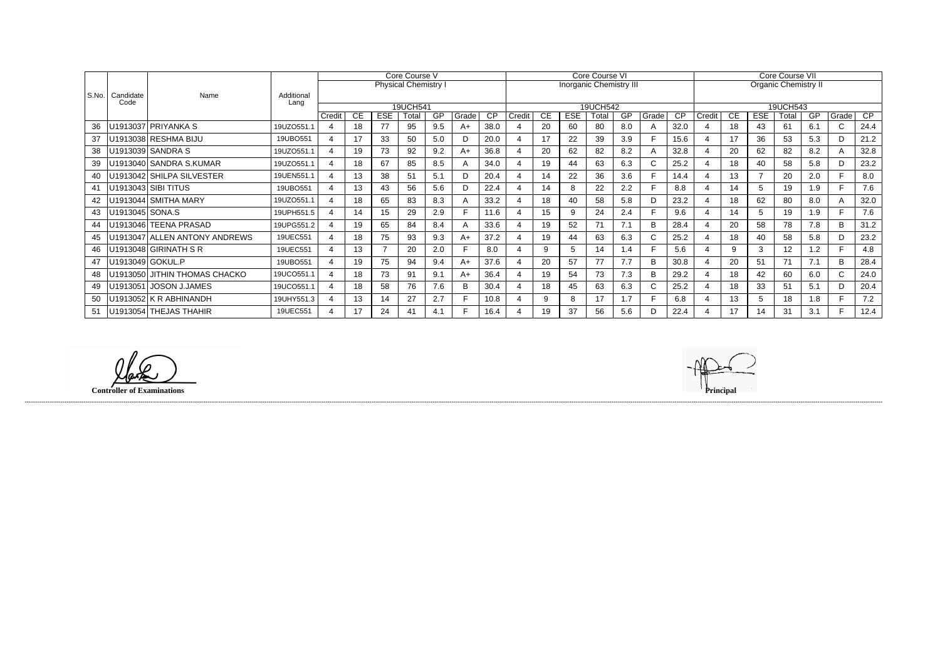|           |                   |                               | Core Course V      |                          |    |            |                             |     |       | Core Course VI  |        |    |            |                                |               |              |                 | Core Course VII |    |            |          |                             |              |      |  |
|-----------|-------------------|-------------------------------|--------------------|--------------------------|----|------------|-----------------------------|-----|-------|-----------------|--------|----|------------|--------------------------------|---------------|--------------|-----------------|-----------------|----|------------|----------|-----------------------------|--------------|------|--|
|           |                   |                               |                    |                          |    |            | <b>Physical Chemistry I</b> |     |       |                 |        |    |            | <b>Inorganic Chemistry III</b> |               |              |                 |                 |    |            |          | <b>Organic Chemistry II</b> |              |      |  |
| l S.No. l | Candidate<br>Code | Name                          | Additional<br>Lang |                          |    |            |                             |     |       |                 |        |    |            |                                |               |              |                 |                 |    |            |          |                             |              |      |  |
|           |                   |                               |                    |                          |    |            | 19UCH541                    |     |       |                 |        |    |            | 19UCH542                       |               |              |                 |                 |    |            | 19UCH543 |                             |              |      |  |
|           |                   |                               |                    | Credit                   | CE | <b>ESE</b> | Total                       | GP  | Grade | $\overline{CP}$ | Credit | СE | <b>ESE</b> | Total                          | GP            | Grade        | $\overline{CP}$ | Credit          | CE | <b>ESE</b> | Total    | GF                          | Grade        | CP   |  |
| 36        |                   | U1913037 PRIYANKA S           | 19UZO551.1         | 4                        | 18 | 77         | 95                          | 9.5 | A+    | 38.0            |        | 20 | 60         | 80                             | 8.0           | A            | 32.0            |                 | 18 | 43         | 61       | 6.1                         | $\mathsf{C}$ | 24.4 |  |
| 37        |                   | U1913038 RESHMA BIJU          | 19UBO551           | 4                        | 17 | 33         | 50                          | 5.0 |       | 20.0            |        | 17 | 22         | 39                             | 3.9           |              | 15.6            |                 | 17 | 36         | 53       | 5.3                         | D            | 21.2 |  |
| 38        |                   | U1913039 SANDRA S             | 19UZO551.1         | $\overline{A}$           | 19 | 73         | 92                          | 9.2 | A+    | 36.8            |        | 20 | 62         | 82                             | 8.2           | A            | 32.8            |                 | 20 | 62         | 82       | 8.2                         | A            | 32.8 |  |
| 39        |                   | U1913040 SANDRA S.KUMAR       | 19UZO551.1         | $\overline{4}$           | 18 | 67         | 85                          | 8.5 |       | 34.0            |        | 19 | 44         | 63                             | 6.3           | C            | 25.2            |                 | 18 | 40         | 58       | 5.8                         | D            | 23.2 |  |
| 40        |                   | U1913042 SHILPA SILVESTER     | 19UEN551.1         | $\boldsymbol{\varDelta}$ | 13 | 38         | 51                          | 5.1 |       | 20.4            |        | 14 | 22         | 36                             | 3.6           |              | 14.4            |                 | 13 |            | 20       | 2.0                         |              | 8.0  |  |
| 41        |                   | U1913043 SIBI TITUS           | 19UBO551           | $\overline{4}$           | 13 | 43         | 56                          | 5.6 | D.    | 22.4            |        | 14 |            | 22                             | 2.2           | F            | 8.8             | $\overline{4}$  | 14 | 5          | 19       | 1.9                         |              | 7.6  |  |
| 42        |                   | U1913044 SMITHA MARY          | 19UZO551.1         | Δ                        | 18 | 65         | 83                          | 8.3 | A     | 33.2            |        | 18 | 40         | 58                             | 5.8           | D.           | 23.2            |                 | 18 | 62         | 80       | 8.0                         | A            | 32.0 |  |
| 43        | U1913045 SONA.S   |                               | 19UPH551.5         | $\boldsymbol{\varDelta}$ | 14 | 15         | 29                          | 2.9 |       | 11.6            |        | 15 | 9          | 24                             | 2.4           | F            | 9.6             |                 | 14 | 5          | 19       | 1.9                         |              | 7.6  |  |
| 44        |                   | U1913046 TEENA PRASAD         | 19UPG551.2         | 4                        | 19 | 65         | 84                          | 8.4 |       | 33.6            |        | 19 | 52         | 71                             | 7.1           | B            | 28.4            |                 | 20 | 58         | 78       | 7.8                         | B            | 31.2 |  |
| 45        |                   | U1913047 ALLEN ANTONY ANDREWS | 19UEC551           | $\overline{A}$           | 18 | 75         | 93                          | 9.3 | A+    | 37.2            |        | 19 | 44         | 63                             | 6.3           | $\mathsf{C}$ | 25.2            |                 | 18 | 40         | 58       | 5.8                         | D            | 23.2 |  |
| 46        |                   | U1913048 GIRINATH S R         | 19UEC551           | 4                        | 13 |            | 20                          | 2.0 |       | 8.0             |        | 9  |            | 14                             | $\mathsf{.4}$ |              | 5.6             |                 | 9  | 3          | 12       | 1.2                         |              | 4.8  |  |
| 47        | U1913049 GOKUL.P  |                               | 19UBO551           | $\overline{4}$           | 19 | 75         | 94                          | 9.4 | A+    | 37.6            |        | 20 | 57         | 77                             | 7.7           | B            | 30.8            |                 | 20 | 51         | 71       | 7.1                         | B            | 28.4 |  |
| 48        |                   | U1913050 JITHIN THOMAS CHACKO | 19UCO551.1         | $\overline{4}$           | 18 | 73         | 91                          | 9.1 | A+    | 36.4            |        | 19 | 54         | 73                             | 7.3           | B            | 29.2            | -4              | 18 | 42         | 60       | 6.0                         | $\mathsf{C}$ | 24.0 |  |
| 49        |                   | U1913051 JOSON J.JAMES        | 19UCO551.1         | 4                        | 18 | 58         | 76                          | 7.6 |       | 30.4            |        | 18 | 45         | 63                             | 6.3           | C.           | 25.2            |                 | 18 | 33         | 51       | 5.1                         | D            | 20.4 |  |
| 50        |                   | U1913052 K R ABHINANDH        | 19UHY551.3         | $\overline{4}$           | 13 | 14         | 27                          | 2.7 |       | 10.8            |        | 9  | 8          | 17                             | 1.7           | F            | 6.8             |                 | 13 | 5          | 18       | 1.8                         |              | 7.2  |  |
| 51        |                   | U1913054 THEJAS THAHIR        | 19UEC551           |                          | 17 | 24         | 41                          | 4.1 |       | 16.4            |        | 19 | 37         | 56                             | 5.6           | D            | 22.4            | 4               | 17 | 14         | 31       | 3.1                         |              | 12.4 |  |

(D **Controller of Examinations**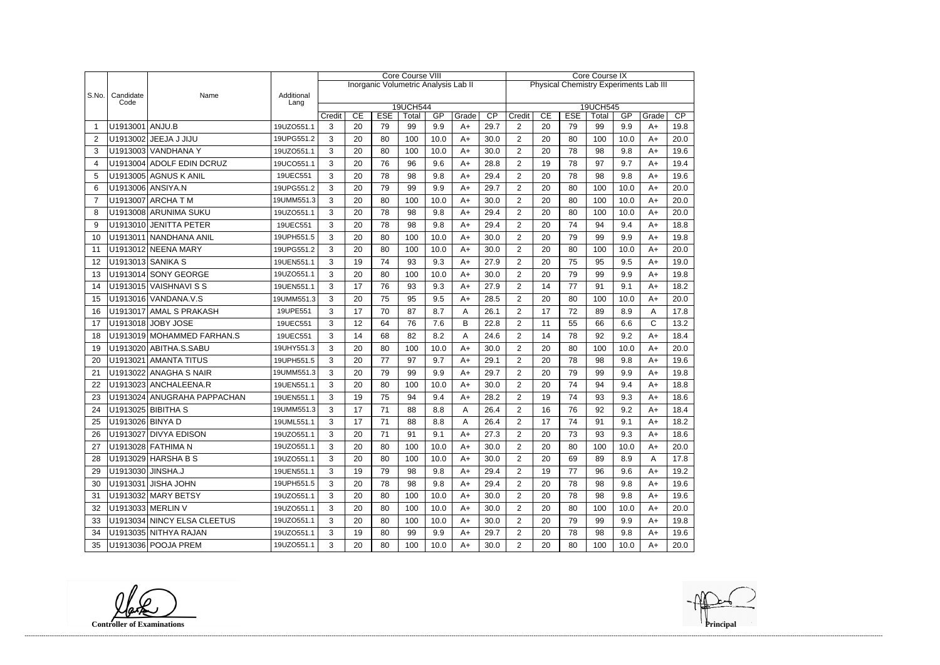|       |                   |                             |                    |        |    |            | <b>Core Course VIII</b>              |      |       | <b>Core Course IX</b> |                                               |    |            |                   |      |              |      |  |
|-------|-------------------|-----------------------------|--------------------|--------|----|------------|--------------------------------------|------|-------|-----------------------|-----------------------------------------------|----|------------|-------------------|------|--------------|------|--|
|       |                   |                             |                    |        |    |            | Inorganic Volumetric Analysis Lab II |      |       |                       | <b>Physical Chemistry Experiments Lab III</b> |    |            |                   |      |              |      |  |
| S.No. | Candidate<br>Code | Name                        | Additional<br>Lang |        |    |            |                                      |      |       |                       |                                               |    |            |                   |      |              |      |  |
|       |                   |                             |                    | Credit | CE | <b>ESE</b> | 19UCH544<br>Total                    | GP   | Grade | $\overline{CP}$       | Credit                                        | CE | <b>ESE</b> | 19UCH545<br>Total | GP   | Grade        | CP   |  |
|       | U1913001 ANJU.B   |                             | 19UZO551.1         | 3      | 20 | 79         | 99                                   | 9.9  | $A+$  | 29.7                  | $\overline{2}$                                | 20 | 79         | 99                | 9.9  | $A+$         | 19.8 |  |
| 2     |                   | U1913002 JEEJA J JIJU       | 19UPG551.2         | 3      | 20 | 80         | 100                                  | 10.0 | $A+$  | 30.0                  | $\overline{2}$                                | 20 | 80         | 100               | 10.0 | $A+$         | 20.0 |  |
| 3     |                   | U1913003 VANDHANA Y         | 19UZO551.1         | 3      | 20 | 80         | 100                                  | 10.0 | $A+$  | 30.0                  | $\overline{2}$                                | 20 | 78         | 98                | 9.8  | $A+$         | 19.6 |  |
| 4     |                   | U1913004 ADOLF EDIN DCRUZ   | 19UCO551.1         | 3      | 20 | 76         | 96                                   | 9.6  | $A+$  | 28.8                  | $\overline{2}$                                | 19 | 78         | 97                | 9.7  | $A+$         | 19.4 |  |
| 5     |                   | U1913005 AGNUS K ANIL       | 19UEC551           | 3      | 20 | 78         | 98                                   | 9.8  | $A+$  | 29.4                  | $\overline{2}$                                | 20 | 78         | 98                | 9.8  | $A+$         | 19.6 |  |
| 6     |                   | U1913006 ANSIYA.N           | 19UPG551.2         | 3      | 20 | 79         | 99                                   | 9.9  | $A+$  | 29.7                  | $\overline{2}$                                | 20 | 80         | 100               | 10.0 | $A+$         | 20.0 |  |
| 7     |                   | U1913007 ARCHA T M          | 19UMM551.3         | 3      | 20 | 80         | 100                                  | 10.0 | $A+$  | 30.0                  | $\overline{2}$                                | 20 | 80         | 100               | 10.0 | $A+$         | 20.0 |  |
| 8     |                   | U1913008 ARUNIMA SUKU       | 19UZO551.1         | 3      | 20 | 78         | 98                                   | 9.8  | $A+$  | 29.4                  | $\overline{2}$                                | 20 | 80         | 100               | 10.0 | $A+$         | 20.0 |  |
| 9     |                   | U1913010 JENITTA PETER      | 19UEC551           | 3      | 20 | 78         | 98                                   | 9.8  | $A+$  | 29.4                  | $\overline{2}$                                | 20 | 74         | 94                | 9.4  | $A+$         | 18.8 |  |
| 10    |                   | U1913011 NANDHANA ANIL      | 19UPH551.5         | 3      | 20 | 80         | 100                                  | 10.0 | $A+$  | 30.0                  | $\overline{c}$                                | 20 | 79         | 99                | 9.9  | A+           | 19.8 |  |
| 11    |                   | U1913012 NEENA MARY         | 19UPG551.2         | 3      | 20 | 80         | 100                                  | 10.0 | $A+$  | 30.0                  | $\overline{2}$                                | 20 | 80         | 100               | 10.0 | $A+$         | 20.0 |  |
| 12    |                   | U1913013 SANIKA S           | 19UEN551.1         | 3      | 19 | 74         | 93                                   | 9.3  | $A+$  | 27.9                  | $\overline{2}$                                | 20 | 75         | 95                | 9.5  | $A+$         | 19.0 |  |
| 13    |                   | U1913014 SONY GEORGE        | 19UZO551.1         | 3      | 20 | 80         | 100                                  | 10.0 | $A+$  | 30.0                  | $\overline{2}$                                | 20 | 79         | 99                | 9.9  | $A+$         | 19.8 |  |
| 14    |                   | U1913015 VAISHNAVI S S      | 19UEN551.1         | 3      | 17 | 76         | 93                                   | 9.3  | $A+$  | 27.9                  | $\overline{2}$                                | 14 | 77         | 91                | 9.1  | $A+$         | 18.2 |  |
| 15    |                   | U1913016 VANDANA.V.S        | 19UMM551.3         | 3      | 20 | 75         | 95                                   | 9.5  | $A+$  | 28.5                  | $\overline{2}$                                | 20 | 80         | 100               | 10.0 | $A+$         | 20.0 |  |
| 16    |                   | U1913017 AMAL S PRAKASH     | 19UPE551           | 3      | 17 | 70         | 87                                   | 8.7  | A     | 26.1                  | $\overline{2}$                                | 17 | 72         | 89                | 8.9  | Α            | 17.8 |  |
| 17    |                   | U1913018 JOBY JOSE          | 19UEC551           | 3      | 12 | 64         | 76                                   | 7.6  | B     | 22.8                  | $\overline{2}$                                | 11 | 55         | 66                | 6.6  | $\mathsf{C}$ | 13.2 |  |
| 18    |                   | U1913019 MOHAMMED FARHAN.S  | 19UEC551           | 3      | 14 | 68         | 82                                   | 8.2  | Α     | 24.6                  | $\overline{2}$                                | 14 | 78         | 92                | 9.2  | $A+$         | 18.4 |  |
| 19    |                   | U1913020 ABITHA.S.SABU      | 19UHY551.3         | 3      | 20 | 80         | 100                                  | 10.0 | $A+$  | 30.0                  | $\overline{2}$                                | 20 | 80         | 100               | 10.0 | $A+$         | 20.0 |  |
| 20    |                   | U1913021 AMANTA TITUS       | 19UPH551.5         | 3      | 20 | 77         | 97                                   | 9.7  | $A+$  | 29.1                  | 2                                             | 20 | 78         | 98                | 9.8  | $A+$         | 19.6 |  |
| 21    |                   | U1913022 ANAGHA S NAIR      | 19UMM551.3         | 3      | 20 | 79         | 99                                   | 9.9  | $A+$  | 29.7                  | $\overline{2}$                                | 20 | 79         | 99                | 9.9  | $A+$         | 19.8 |  |
| 22    |                   | U1913023 ANCHALEENA.R       | 19UEN551.1         | 3      | 20 | 80         | 100                                  | 10.0 | $A+$  | 30.0                  | $\overline{2}$                                | 20 | 74         | 94                | 9.4  | $A+$         | 18.8 |  |
| 23    |                   | U1913024 ANUGRAHA PAPPACHAN | 19UEN551.1         | 3      | 19 | 75         | 94                                   | 9.4  | $A+$  | 28.2                  | $\overline{2}$                                | 19 | 74         | 93                | 9.3  | $A+$         | 18.6 |  |
| 24    |                   | U1913025 BIBITHA S          | 19UMM551.3         | 3      | 17 | 71         | 88                                   | 8.8  | Α     | 26.4                  | $\overline{2}$                                | 16 | 76         | 92                | 9.2  | $A+$         | 18.4 |  |
| 25    | U1913026 BINYA D  |                             | 19UML551.1         | 3      | 17 | 71         | 88                                   | 8.8  | А     | 26.4                  | $\overline{\mathbf{c}}$                       | 17 | 74         | 91                | 91   | A+           | 18.2 |  |
| 26    |                   | U1913027 DIVYA EDISON       | 19UZO551.1         | 3      | 20 | 71         | 91                                   | 9.1  | $A+$  | 27.3                  | $\overline{2}$                                | 20 | 73         | 93                | 9.3  | A+           | 18.6 |  |
| 27    |                   | U1913028 FATHIMA N          | 19UZO551.1         | 3      | 20 | 80         | 100                                  | 10.0 | $A+$  | 30.0                  | $\overline{2}$                                | 20 | 80         | 100               | 10.0 | A+           | 20.0 |  |
| 28    |                   | U1913029 HARSHA B S         | 19UZO551.1         | 3      | 20 | 80         | 100                                  | 10.0 | $A+$  | 30.0                  | $\overline{2}$                                | 20 | 69         | 89                | 8.9  | A            | 17.8 |  |
| 29    | U1913030 JINSHA.J |                             | 19UEN551.1         | 3      | 19 | 79         | 98                                   | 9.8  | $A+$  | 29.4                  | $\overline{2}$                                | 19 | 77         | 96                | 9.6  | A+           | 19.2 |  |
| 30    |                   | U1913031 JISHA JOHN         | 19UPH551.5         | 3      | 20 | 78         | 98                                   | 9.8  | $A+$  | 29.4                  | $\overline{2}$                                | 20 | 78         | 98                | 9.8  | A+           | 19.6 |  |
| 31    |                   | U1913032 MARY BETSY         | 19UZO551.1         | 3      | 20 | 80         | 100                                  | 10.0 | $A+$  | 30.0                  | $\overline{2}$                                | 20 | 78         | 98                | 9.8  | A+           | 19.6 |  |
| 32    |                   | U1913033 MERLIN V           | 19UZO551.1         | 3      | 20 | 80         | 100                                  | 10.0 | $A+$  | 30.0                  | $\overline{c}$                                | 20 | 80         | 100               | 10.0 | A+           | 20.0 |  |
| 33    |                   | U1913034 NINCY ELSA CLEETUS | 19UZO551.1         | 3      | 20 | 80         | 100                                  | 10.0 | $A+$  | 30.0                  | $\overline{c}$                                | 20 | 79         | 99                | 9.9  | A+           | 19.8 |  |
| 34    |                   | U1913035 NITHYA RAJAN       | 19UZO551.1         | 3      | 19 | 80         | 99                                   | 9.9  | A+    | 29.7                  | $\overline{2}$                                | 20 | 78         | 98                | 9.8  | A+           | 19.6 |  |
| 35    |                   | U1913036 POOJA PREM         | 19UZO551.1         | 3      | 20 | 80         | 100                                  | 10.0 | A+    | 30.0                  | $\overline{2}$                                | 20 | 80         | 100               | 10.0 | A+           | 20.0 |  |

**Controller of Examinations**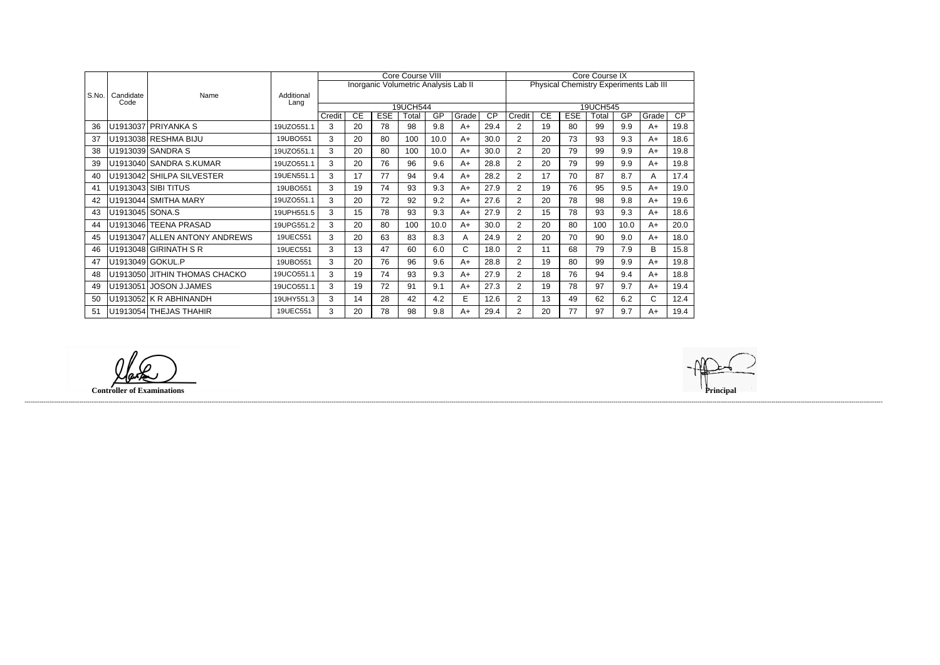|       |                 |                               |            |        |    |                                      | Core Course VIII |      |       |                 | Core Course IX |    |            |              |      |                                        |                 |  |
|-------|-----------------|-------------------------------|------------|--------|----|--------------------------------------|------------------|------|-------|-----------------|----------------|----|------------|--------------|------|----------------------------------------|-----------------|--|
|       |                 |                               |            |        |    | Inorganic Volumetric Analysis Lab II |                  |      |       |                 |                |    |            |              |      | Physical Chemistry Experiments Lab III |                 |  |
| S.No. | Candidate       | Name                          | Additional |        |    |                                      |                  |      |       |                 |                |    |            |              |      |                                        |                 |  |
|       | Code            |                               | Lang       |        |    |                                      | 19UCH544         |      |       |                 |                |    |            | 19UCH545     |      |                                        |                 |  |
|       |                 |                               |            | Credit | CE | <b>ESE</b>                           | Total            | GP   | Grade | $\overline{CP}$ | Credit         | CE | <b>ESE</b> | <b>Total</b> | GP   | Grade                                  | $\overline{CP}$ |  |
| 36    |                 | U1913037 PRIYANKA S           | 19UZO551.1 | 3      | 20 | 78                                   | 98               | 9.8  | A+    | 29.4            | 2              | 19 | 80         | 99           | 9.9  | A+                                     | 19.8            |  |
| 37    |                 | U1913038 RESHMA BIJU          | 19UBO551   | 3      | 20 | 80                                   | 100              | 10.0 | A+    | 30.0            | $\overline{2}$ | 20 | 73         | 93           | 9.3  | A+                                     | 18.6            |  |
| 38    |                 | U1913039 SANDRA S             | 19UZO551.1 | 3      | 20 | 80                                   | 100              | 10.0 | $A+$  | 30.0            | $\overline{2}$ | 20 | 79         | 99           | 9.9  | A+                                     | 19.8            |  |
| 39    |                 | U1913040 SANDRA S.KUMAR       | 19UZO551.1 | 3      | 20 | 76                                   | 96               | 9.6  | $A+$  | 28.8            | $\overline{2}$ | 20 | 79         | 99           | 9.9  | A+                                     | 19.8            |  |
| 40    |                 | U1913042 SHILPA SILVESTER     | 19UEN551.1 | 3      | 17 | 77                                   | 94               | 9.4  | $A+$  | 28.2            | $\overline{2}$ | 17 | 70         | 87           | 8.7  | A                                      | 17.4            |  |
| 41    |                 | U1913043 SIBI TITUS           | 19UBO551   | 3      | 19 | 74                                   | 93               | 9.3  | $A+$  | 27.9            | $\overline{2}$ | 19 | 76         | 95           | 9.5  | $A+$                                   | 19.0            |  |
| 42    |                 | U1913044 SMITHA MARY          | 19UZO551.1 | 3      | 20 | 72                                   | 92               | 9.2  | A+    | 27.6            | $\overline{2}$ | 20 | 78         | 98           | 9.8  | A+                                     | 19.6            |  |
| 43    | U1913045 SONA.S |                               | 19UPH551.5 | 3      | 15 | 78                                   | 93               | 9.3  | A+    | 27.9            | $\overline{2}$ | 15 | 78         | 93           | 9.3  | A+                                     | 18.6            |  |
| 44    |                 | U1913046 TEENA PRASAD         | 19UPG551.2 | 3      | 20 | 80                                   | 100              | 10.0 | $A+$  | 30.0            | $\overline{2}$ | 20 | 80         | 100          | 10.0 | $A+$                                   | 20.0            |  |
| 45    |                 | U1913047 ALLEN ANTONY ANDREWS | 19UEC551   | 3      | 20 | 63                                   | 83               | 8.3  | A     | 24.9            | $\overline{2}$ | 20 | 70         | 90           | 9.0  | A+                                     | 18.0            |  |
| 46    |                 | U1913048 GIRINATH S R         | 19UEC551   | 3      | 13 | 47                                   | 60               | 6.0  | C     | 18.0            | 2              | 11 | 68         | 79           | 7.9  | В                                      | 15.8            |  |
| 47    |                 | U1913049 GOKUL.P              | 19UBO551   | 3      | 20 | 76                                   | 96               | 9.6  | $A+$  | 28.8            | $\overline{2}$ | 19 | 80         | 99           | 9.9  | $A+$                                   | 19.8            |  |
| 48    |                 | U1913050 JITHIN THOMAS CHACKO | 19UCO551.1 | 3      | 19 | 74                                   | 93               | 9.3  | A+    | 27.9            | 2              | 18 | 76         | 94           | 9.4  | A+                                     | 18.8            |  |
| 49    |                 | U1913051 JOSON J.JAMES        | 19UCO551.1 | 3      | 19 | 72                                   | 91               | 9.1  | $A+$  | 27.3            | $\overline{2}$ | 19 | 78         | 97           | 9.7  | A+                                     | 19.4            |  |
| 50    |                 | $U1913052$ K R ABHINANDH      | 19UHY551.3 | 3      | 14 | 28                                   | 42               | 4.2  | E     | 12.6            | $\overline{2}$ | 13 | 49         | 62           | 6.2  | C                                      | 12.4            |  |
| 51    |                 | U1913054 THEJAS THAHIR        | 19UEC551   | 3      | 20 | 78                                   | 98               | 9.8  | A+    | 29.4            | $\overline{2}$ | 20 | 77         | 97           | 9.7  | $A+$                                   | 19.4            |  |

**Controller of Examinations Principal**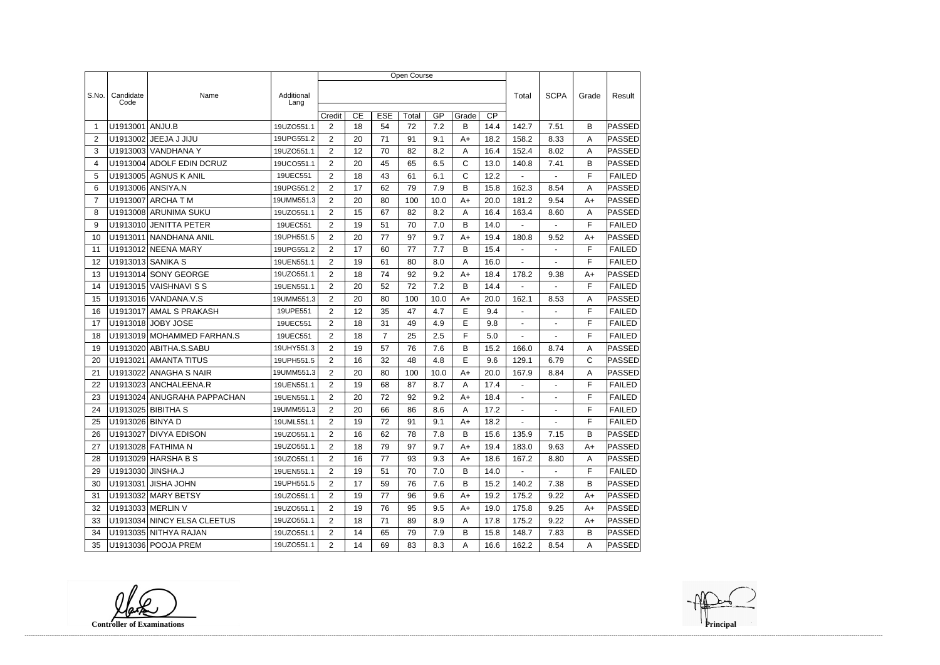|                |                   |                             |                    | Open Course    |    |                |       |      |       |                 |                          |                          |              |               |  |
|----------------|-------------------|-----------------------------|--------------------|----------------|----|----------------|-------|------|-------|-----------------|--------------------------|--------------------------|--------------|---------------|--|
|                |                   |                             |                    |                |    |                |       |      |       |                 |                          |                          |              |               |  |
| S.No.          | Candidate<br>Code | Name                        | Additional<br>Lang |                |    |                |       |      |       |                 | Total                    | <b>SCPA</b>              | Grade        | Result        |  |
|                |                   |                             |                    | Credit         | CE | <b>ESE</b>     | Total | GP   | Grade | $\overline{CP}$ |                          |                          |              |               |  |
| -1             | U1913001          | ANJU.B                      | 19UZO551.1         | $\overline{2}$ | 18 | 54             | 72    | 7.2  | в     | 14.4            | 142.7                    | 7.51                     | B            | PASSED        |  |
| 2              | U1913002          | JEEJA J JIJU                | 19UPG551.2         | $\overline{2}$ | 20 | 71             | 91    | 9.1  | A+    | 18.2            | 158.2                    | 8.33                     | Α            | PASSED        |  |
| 3              |                   | U1913003 VANDHANA Y         | 19UZO551.1         | $\overline{2}$ | 12 | 70             | 82    | 8.2  | A     | 16.4            | 152.4                    | 8.02                     | A            | <b>PASSED</b> |  |
| 4              |                   | U1913004 ADOLF EDIN DCRUZ   | 19UCO551.1         | $\overline{2}$ | 20 | 45             | 65    | 6.5  | C     | 13.0            | 140.8                    | 7.41                     | B            | PASSED        |  |
| 5              |                   | U1913005 AGNUS K ANIL       | 19UEC551           | $\overline{2}$ | 18 | 43             | 61    | 6.1  | C     | 12.2            | $\blacksquare$           | $\blacksquare$           | F            | <b>FAILED</b> |  |
| 6              |                   | U1913006 ANSIYA.N           | 19UPG551.2         | $\overline{2}$ | 17 | 62             | 79    | 7.9  | В     | 15.8            | 162.3                    | 8.54                     | Α            | PASSED        |  |
| $\overline{7}$ |                   | U1913007 ARCHA T M          | 19UMM551.3         | $\overline{2}$ | 20 | 80             | 100   | 10.0 | A+    | 20.0            | 181.2                    | 9.54                     | $A+$         | PASSED        |  |
| 8              |                   | U1913008 ARUNIMA SUKU       | 19UZO551.1         | $\overline{2}$ | 15 | 67             | 82    | 8.2  | A     | 16.4            | 163.4                    | 8.60                     | A            | <b>PASSED</b> |  |
| 9              |                   | U1913010 JENITTA PETER      | 19UEC551           | $\overline{2}$ | 19 | 51             | 70    | 7.0  | B     | 14.0            |                          |                          | F            | <b>FAILED</b> |  |
| 10             | U1913011          | NANDHANA ANIL               | 19UPH551.5         | $\overline{2}$ | 20 | 77             | 97    | 9.7  | A+    | 19.4            | 180.8                    | 9.52                     | $A+$         | PASSED        |  |
| 11             |                   | U1913012 NEENA MARY         | 19UPG551.2         | 2              | 17 | 60             | 77    | 7.7  | B     | 15.4            | $\blacksquare$           | $\blacksquare$           | F            | <b>FAILED</b> |  |
| 12             |                   | U1913013 SANIKA S           | 19UEN551.1         | $\overline{2}$ | 19 | 61             | 80    | 8.0  | Α     | 16.0            | $\overline{\phantom{a}}$ | $\blacksquare$           | F            | <b>FAILED</b> |  |
| 13             |                   | U1913014 SONY GEORGE        | 19UZO551.1         | $\overline{2}$ | 18 | 74             | 92    | 9.2  | A+    | 18.4            | 178.2                    | 9.38                     | A+           | <b>PASSED</b> |  |
| 14             |                   | U1913015 VAISHNAVI S S      | 19UEN551.1         | $\overline{2}$ | 20 | 52             | 72    | 7.2  | В     | 14.4            |                          |                          | F            | <b>FAILED</b> |  |
| 15             |                   | U1913016 VANDANA.V.S        | 19UMM551.3         | $\overline{2}$ | 20 | 80             | 100   | 10.0 | A+    | 20.0            | 162.1                    | 8.53                     | A            | PASSED        |  |
| 16             |                   | U1913017 AMAL S PRAKASH     | 19UPE551           | $\overline{2}$ | 12 | 35             | 47    | 4.7  | E     | 9.4             |                          |                          | F            | <b>FAILED</b> |  |
| 17             |                   | U1913018 JOBY JOSE          | 19UEC551           | $\overline{2}$ | 18 | 31             | 49    | 4.9  | E     | 9.8             | $\blacksquare$           |                          | F            | <b>FAILED</b> |  |
| 18             |                   | U1913019 MOHAMMED FARHAN.S  | 19UEC551           | 2              | 18 | $\overline{7}$ | 25    | 2.5  | F     | 5.0             | $\blacksquare$           | $\overline{\phantom{a}}$ | F            | <b>FAILED</b> |  |
| 19             |                   | U1913020 ABITHA.S.SABU      | 19UHY551.3         | $\overline{2}$ | 19 | 57             | 76    | 7.6  | В     | 15.2            | 166.0                    | 8.74                     | A            | PASSED        |  |
| 20             | U1913021          | AMANTA TITUS                | 19UPH551.5         | $\overline{2}$ | 16 | 32             | 48    | 4.8  | E     | 9.6             | 129.1                    | 6.79                     | $\mathsf{C}$ | PASSED        |  |
| 21             | U1913022          | <b>ANAGHA S NAIR</b>        | 19UMM551.3         | 2              | 20 | 80             | 100   | 10.0 | A+    | 20.0            | 167.9                    | 8.84                     | A            | PASSED        |  |
| 22             |                   | U1913023 ANCHALEENA.R       | 19UEN551.1         | $\overline{2}$ | 19 | 68             | 87    | 8.7  | A     | 17.4            | $\blacksquare$           | $\overline{a}$           | F            | <b>FAILED</b> |  |
| 23             |                   | U1913024 ANUGRAHA PAPPACHAN | 19UEN551.1         | $\overline{2}$ | 20 | 72             | 92    | 9.2  | A+    | 18.4            | $\blacksquare$           | $\blacksquare$           | F            | <b>FAILED</b> |  |
| 24             |                   | U1913025 BIBITHA S          | 19UMM551.3         | $\overline{2}$ | 20 | 66             | 86    | 8.6  | A     | 17.2            | $\blacksquare$           |                          | F            | <b>FAILED</b> |  |
| 25             | U1913026 BINYA D  |                             | 19UML551.1         | $\overline{2}$ | 19 | 72             | 91    | 9.1  | $A+$  | 18.2            | $\sim$                   | $\sim$                   | $\mathsf F$  | <b>FAILED</b> |  |
| 26             |                   | U1913027 DIVYA EDISON       | 19UZO551.1         | $\overline{2}$ | 16 | 62             | 78    | 7.8  | B     | 15.6            | 135.9                    | 7.15                     | B            | <b>PASSED</b> |  |
| 27             |                   | U1913028 FATHIMA N          | 19UZO551.1         | $\overline{2}$ | 18 | 79             | 97    | 9.7  | $A+$  | 19.4            | 183.0                    | 9.63                     | $A+$         | PASSED        |  |
| 28             |                   | U1913029 HARSHA B S         | 19UZO551.1         | $\overline{2}$ | 16 | 77             | 93    | 9.3  | A+    | 18.6            | 167.2                    | 8.80                     | A            | PASSED        |  |
| 29             | U1913030 JINSHA.J |                             | 19UEN551.1         | $\overline{2}$ | 19 | 51             | 70    | 7.0  | B     | 14.0            | $\sim$                   | $\sim$                   | F            | <b>FAILED</b> |  |
| 30             |                   | U1913031 JISHA JOHN         | 19UPH551.5         | $\overline{2}$ | 17 | 59             | 76    | 7.6  | B     | 15.2            | 140.2                    | 7.38                     | B            | PASSED        |  |
| 31             |                   | U1913032 MARY BETSY         | 19UZO551.1         | $\overline{2}$ | 19 | 77             | 96    | 9.6  | A+    | 19.2            | 175.2                    | 9.22                     | A+           | PASSED        |  |
| 32             |                   | U1913033 MERLIN V           | 19UZO551.1         | $\overline{2}$ | 19 | 76             | 95    | 9.5  | A+    | 19.0            | 175.8                    | 9.25                     | A+           | PASSED        |  |
| 33             |                   | U1913034 NINCY ELSA CLEETUS | 19UZO551.1         | $\overline{2}$ | 18 | 71             | 89    | 8.9  | A     | 17.8            | 175.2                    | 9.22                     | A+           | PASSED        |  |
| 34             |                   | U1913035 NITHYA RAJAN       | 19UZO551.1         | $\overline{2}$ | 14 | 65             | 79    | 7.9  | B     | 15.8            | 148.7                    | 7.83                     | B            | <b>PASSED</b> |  |
| 35             |                   | U1913036 POOJA PREM         | 19UZO551.1         | $2^{\circ}$    | 14 | 69             | 83    | 8.3  | A     | 16.6            | 162.2                    | 8.54                     | A            | <b>PASSED</b> |  |

**Controller of Examinations**